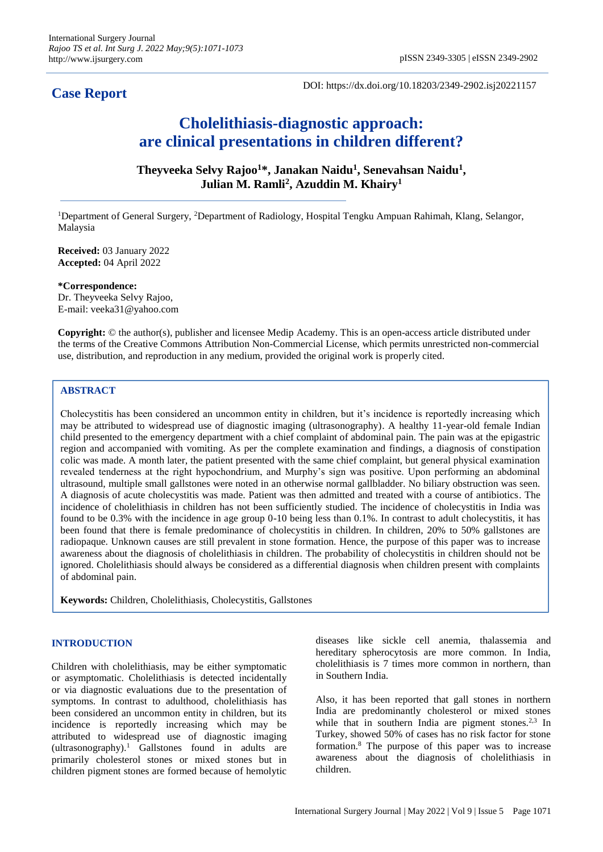# **Case Report**

DOI: https://dx.doi.org/10.18203/2349-2902.isj20221157

# **Cholelithiasis-diagnostic approach: are clinical presentations in children different?**

**Theyveeka Selvy Rajoo<sup>1</sup>\*, Janakan Naidu<sup>1</sup> , Senevahsan Naidu<sup>1</sup> , Julian M. Ramli<sup>2</sup> , Azuddin M. Khairy<sup>1</sup>**

<sup>1</sup>Department of General Surgery, <sup>2</sup>Department of Radiology, Hospital Tengku Ampuan Rahimah, Klang, Selangor, Malaysia

**Received:** 03 January 2022 **Accepted:** 04 April 2022

**\*Correspondence:** Dr. Theyveeka Selvy Rajoo, E-mail: veeka31@yahoo.com

**Copyright:** © the author(s), publisher and licensee Medip Academy. This is an open-access article distributed under the terms of the Creative Commons Attribution Non-Commercial License, which permits unrestricted non-commercial use, distribution, and reproduction in any medium, provided the original work is properly cited.

## **ABSTRACT**

Cholecystitis has been considered an uncommon entity in children, but it's incidence is reportedly increasing which may be attributed to widespread use of diagnostic imaging (ultrasonography). A healthy 11-year-old female Indian child presented to the emergency department with a chief complaint of abdominal pain. The pain was at the epigastric region and accompanied with vomiting. As per the complete examination and findings, a diagnosis of constipation colic was made. A month later, the patient presented with the same chief complaint, but general physical examination revealed tenderness at the right hypochondrium, and Murphy's sign was positive. Upon performing an abdominal ultrasound, multiple small gallstones were noted in an otherwise normal gallbladder. No biliary obstruction was seen. A diagnosis of acute cholecystitis was made. Patient was then admitted and treated with a course of antibiotics. The incidence of cholelithiasis in children has not been sufficiently studied. The incidence of cholecystitis in India was found to be 0.3% with the incidence in age group 0-10 being less than 0.1%. In contrast to adult cholecystitis, it has been found that there is female predominance of cholecystitis in children. In children, 20% to 50% gallstones are radiopaque. Unknown causes are still prevalent in stone formation. Hence, the purpose of this paper was to increase awareness about the diagnosis of cholelithiasis in children. The probability of cholecystitis in children should not be ignored. Cholelithiasis should always be considered as a differential diagnosis when children present with complaints of abdominal pain.

**Keywords:** Children, Cholelithiasis, Cholecystitis, Gallstones

# **INTRODUCTION**

Children with cholelithiasis, may be either symptomatic or asymptomatic. Cholelithiasis is detected incidentally or via diagnostic evaluations due to the presentation of symptoms. In contrast to adulthood, cholelithiasis has been considered an uncommon entity in children, but its incidence is reportedly increasing which may be attributed to widespread use of diagnostic imaging (ultrasonography).<sup>1</sup> Gallstones found in adults are primarily cholesterol stones or mixed stones but in children pigment stones are formed because of hemolytic

diseases like sickle cell anemia, thalassemia and hereditary spherocytosis are more common. In India, cholelithiasis is 7 times more common in northern, than in Southern India.

Also, it has been reported that gall stones in northern India are predominantly cholesterol or mixed stones while that in southern India are pigment stones.<sup>2,3</sup> In Turkey, showed 50% of cases has no risk factor for stone formation.<sup>8</sup> The purpose of this paper was to increase awareness about the diagnosis of cholelithiasis in children.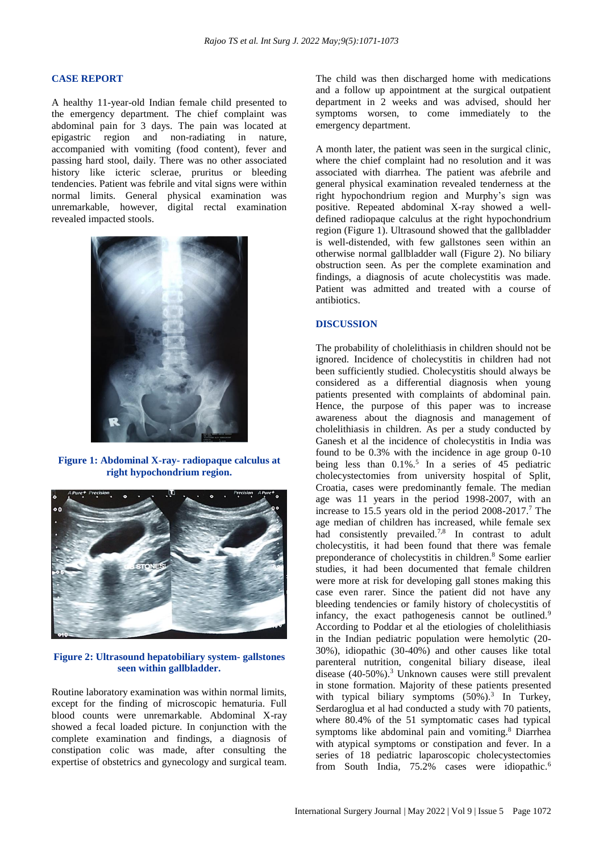#### **CASE REPORT**

A healthy 11-year-old Indian female child presented to the emergency department. The chief complaint was abdominal pain for 3 days. The pain was located at epigastric region and non-radiating in nature, accompanied with vomiting (food content), fever and passing hard stool, daily. There was no other associated history like icteric sclerae, pruritus or bleeding tendencies. Patient was febrile and vital signs were within normal limits. General physical examination was unremarkable, however, digital rectal examination revealed impacted stools.



**Figure 1: Abdominal X-ray- radiopaque calculus at right hypochondrium region.**



**Figure 2: Ultrasound hepatobiliary system- gallstones seen within gallbladder.**

Routine laboratory examination was within normal limits, except for the finding of microscopic hematuria. Full blood counts were unremarkable. Abdominal X-ray showed a fecal loaded picture. In conjunction with the complete examination and findings, a diagnosis of constipation colic was made, after consulting the expertise of obstetrics and gynecology and surgical team. The child was then discharged home with medications and a follow up appointment at the surgical outpatient department in 2 weeks and was advised, should her symptoms worsen, to come immediately to the emergency department.

A month later, the patient was seen in the surgical clinic, where the chief complaint had no resolution and it was associated with diarrhea. The patient was afebrile and general physical examination revealed tenderness at the right hypochondrium region and Murphy's sign was positive. Repeated abdominal X-ray showed a welldefined radiopaque calculus at the right hypochondrium region (Figure 1). Ultrasound showed that the gallbladder is well-distended, with few gallstones seen within an otherwise normal gallbladder wall (Figure 2). No biliary obstruction seen. As per the complete examination and findings, a diagnosis of acute cholecystitis was made. Patient was admitted and treated with a course of antibiotics.

#### **DISCUSSION**

The probability of cholelithiasis in children should not be ignored. Incidence of cholecystitis in children had not been sufficiently studied. Cholecystitis should always be considered as a differential diagnosis when young patients presented with complaints of abdominal pain. Hence, the purpose of this paper was to increase awareness about the diagnosis and management of cholelithiasis in children. As per a study conducted by Ganesh et al the incidence of cholecystitis in India was found to be 0.3% with the incidence in age group 0-10 being less than  $0.1\%$ .<sup>5</sup> In a series of 45 pediatric cholecystectomies from university hospital of Split, Croatia, cases were predominantly female. The median age was 11 years in the period 1998-2007, with an increase to 15.5 years old in the period  $2008-2017$ .<sup>7</sup> The age median of children has increased, while female sex had consistently prevailed.<sup>7,8</sup> In contrast to adult cholecystitis, it had been found that there was female preponderance of cholecystitis in children.<sup>8</sup> Some earlier studies, it had been documented that female children were more at risk for developing gall stones making this case even rarer. Since the patient did not have any bleeding tendencies or family history of cholecystitis of infancy, the exact pathogenesis cannot be outlined.<sup>9</sup> According to Poddar et al the etiologies of cholelithiasis in the Indian pediatric population were hemolytic (20- 30%), idiopathic (30-40%) and other causes like total parenteral nutrition, congenital biliary disease, ileal disease  $(40-50\%)$ <sup>3</sup> Unknown causes were still prevalent in stone formation. Majority of these patients presented with typical biliary symptoms (50%).<sup>3</sup> In Turkey, Serdaroglua et al had conducted a study with 70 patients, where 80.4% of the 51 symptomatic cases had typical symptoms like abdominal pain and vomiting.<sup>8</sup> Diarrhea with atypical symptoms or constipation and fever. In a series of 18 pediatric laparoscopic cholecystectomies from South India, 75.2% cases were idiopathic.<sup>6</sup>